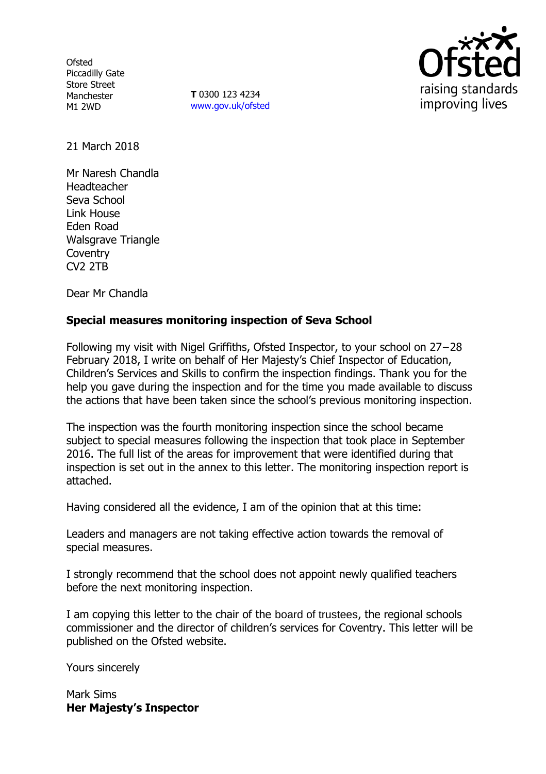**Ofsted** Piccadilly Gate Store Street Manchester M1 2WD

**T** 0300 123 4234 www.gov.uk/ofsted



21 March 2018

Mr Naresh Chandla Headteacher Seva School Link House Eden Road Walsgrave Triangle **Coventry** CV2 2TB

Dear Mr Chandla

## **Special measures monitoring inspection of Seva School**

Following my visit with Nigel Griffiths, Ofsted Inspector, to your school on 27−28 February 2018, I write on behalf of Her Majesty's Chief Inspector of Education, Children's Services and Skills to confirm the inspection findings. Thank you for the help you gave during the inspection and for the time you made available to discuss the actions that have been taken since the school's previous monitoring inspection.

The inspection was the fourth monitoring inspection since the school became subject to special measures following the inspection that took place in September 2016. The full list of the areas for improvement that were identified during that inspection is set out in the annex to this letter. The monitoring inspection report is attached.

Having considered all the evidence, I am of the opinion that at this time:

Leaders and managers are not taking effective action towards the removal of special measures.

I strongly recommend that the school does not appoint newly qualified teachers before the next monitoring inspection.

I am copying this letter to the chair of the board of trustees, the regional schools commissioner and the director of children's services for Coventry. This letter will be published on the Ofsted website.

Yours sincerely

Mark Sims **Her Majesty's Inspector**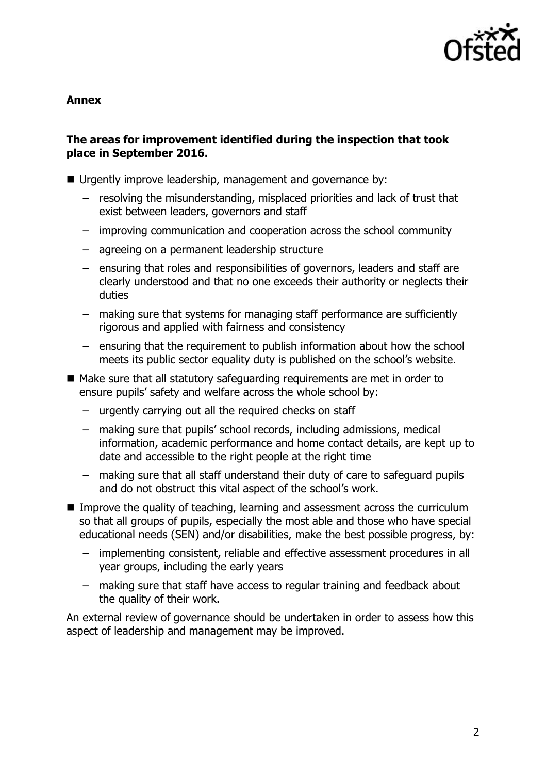

**Annex**

## **The areas for improvement identified during the inspection that took place in September 2016.**

- Urgently improve leadership, management and governance by:
	- resolving the misunderstanding, misplaced priorities and lack of trust that exist between leaders, governors and staff
	- improving communication and cooperation across the school community
	- agreeing on a permanent leadership structure
	- ensuring that roles and responsibilities of governors, leaders and staff are clearly understood and that no one exceeds their authority or neglects their duties
	- making sure that systems for managing staff performance are sufficiently rigorous and applied with fairness and consistency
	- ensuring that the requirement to publish information about how the school meets its public sector equality duty is published on the school's website.
- Make sure that all statutory safeguarding requirements are met in order to ensure pupils' safety and welfare across the whole school by:
	- urgently carrying out all the required checks on staff
	- making sure that pupils' school records, including admissions, medical information, academic performance and home contact details, are kept up to date and accessible to the right people at the right time
	- making sure that all staff understand their duty of care to safeguard pupils and do not obstruct this vital aspect of the school's work.
- Improve the quality of teaching, learning and assessment across the curriculum so that all groups of pupils, especially the most able and those who have special educational needs (SEN) and/or disabilities, make the best possible progress, by:
	- implementing consistent, reliable and effective assessment procedures in all year groups, including the early years
	- making sure that staff have access to regular training and feedback about the quality of their work.

An external review of governance should be undertaken in order to assess how this aspect of leadership and management may be improved.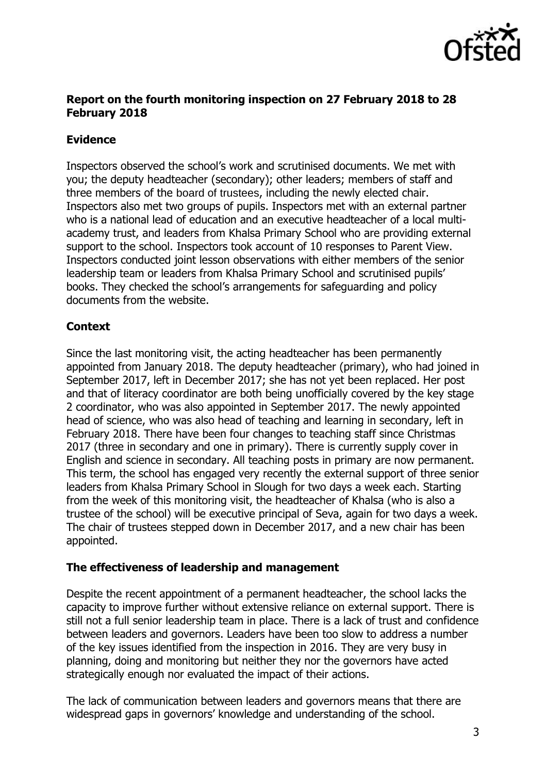

## **Report on the fourth monitoring inspection on 27 February 2018 to 28 February 2018**

# **Evidence**

Inspectors observed the school's work and scrutinised documents. We met with you; the deputy headteacher (secondary); other leaders; members of staff and three members of the board of trustees, including the newly elected chair. Inspectors also met two groups of pupils. Inspectors met with an external partner who is a national lead of education and an executive headteacher of a local multiacademy trust, and leaders from Khalsa Primary School who are providing external support to the school. Inspectors took account of 10 responses to Parent View. Inspectors conducted joint lesson observations with either members of the senior leadership team or leaders from Khalsa Primary School and scrutinised pupils' books. They checked the school's arrangements for safeguarding and policy documents from the website.

## **Context**

Since the last monitoring visit, the acting headteacher has been permanently appointed from January 2018. The deputy headteacher (primary), who had joined in September 2017, left in December 2017; she has not yet been replaced. Her post and that of literacy coordinator are both being unofficially covered by the key stage 2 coordinator, who was also appointed in September 2017. The newly appointed head of science, who was also head of teaching and learning in secondary, left in February 2018. There have been four changes to teaching staff since Christmas 2017 (three in secondary and one in primary). There is currently supply cover in English and science in secondary. All teaching posts in primary are now permanent. This term, the school has engaged very recently the external support of three senior leaders from Khalsa Primary School in Slough for two days a week each. Starting from the week of this monitoring visit, the headteacher of Khalsa (who is also a trustee of the school) will be executive principal of Seva, again for two days a week. The chair of trustees stepped down in December 2017, and a new chair has been appointed.

## **The effectiveness of leadership and management**

Despite the recent appointment of a permanent headteacher, the school lacks the capacity to improve further without extensive reliance on external support. There is still not a full senior leadership team in place. There is a lack of trust and confidence between leaders and governors. Leaders have been too slow to address a number of the key issues identified from the inspection in 2016. They are very busy in planning, doing and monitoring but neither they nor the governors have acted strategically enough nor evaluated the impact of their actions.

The lack of communication between leaders and governors means that there are widespread gaps in governors' knowledge and understanding of the school.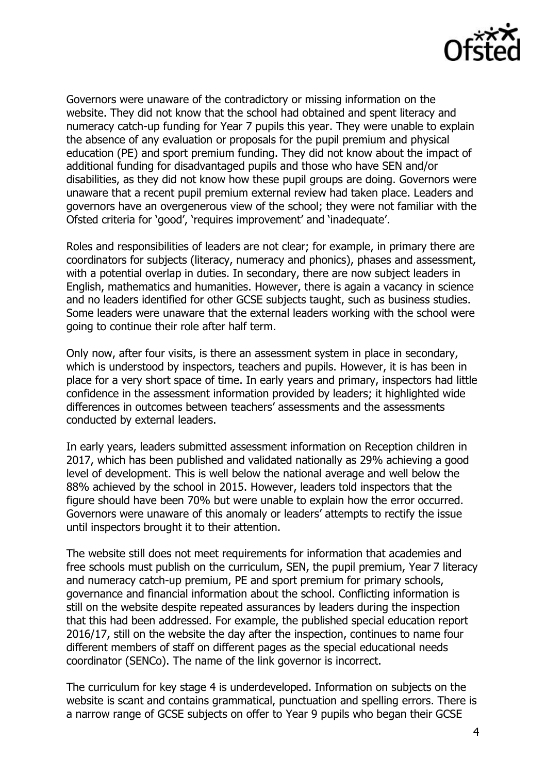

Governors were unaware of the contradictory or missing information on the website. They did not know that the school had obtained and spent literacy and numeracy catch-up funding for Year 7 pupils this year. They were unable to explain the absence of any evaluation or proposals for the pupil premium and physical education (PE) and sport premium funding. They did not know about the impact of additional funding for disadvantaged pupils and those who have SEN and/or disabilities, as they did not know how these pupil groups are doing. Governors were unaware that a recent pupil premium external review had taken place. Leaders and governors have an overgenerous view of the school; they were not familiar with the Ofsted criteria for 'good', 'requires improvement' and 'inadequate'.

Roles and responsibilities of leaders are not clear; for example, in primary there are coordinators for subjects (literacy, numeracy and phonics), phases and assessment, with a potential overlap in duties. In secondary, there are now subject leaders in English, mathematics and humanities. However, there is again a vacancy in science and no leaders identified for other GCSE subjects taught, such as business studies. Some leaders were unaware that the external leaders working with the school were going to continue their role after half term.

Only now, after four visits, is there an assessment system in place in secondary, which is understood by inspectors, teachers and pupils. However, it is has been in place for a very short space of time. In early years and primary, inspectors had little confidence in the assessment information provided by leaders; it highlighted wide differences in outcomes between teachers' assessments and the assessments conducted by external leaders.

In early years, leaders submitted assessment information on Reception children in 2017, which has been published and validated nationally as 29% achieving a good level of development. This is well below the national average and well below the 88% achieved by the school in 2015. However, leaders told inspectors that the figure should have been 70% but were unable to explain how the error occurred. Governors were unaware of this anomaly or leaders' attempts to rectify the issue until inspectors brought it to their attention.

The website still does not meet requirements for information that academies and free schools must publish on the curriculum, SEN, the pupil premium, Year 7 literacy and numeracy catch-up premium, PE and sport premium for primary schools, governance and financial information about the school. Conflicting information is still on the website despite repeated assurances by leaders during the inspection that this had been addressed. For example, the published special education report 2016/17, still on the website the day after the inspection, continues to name four different members of staff on different pages as the special educational needs coordinator (SENCo). The name of the link governor is incorrect.

The curriculum for key stage 4 is underdeveloped. Information on subjects on the website is scant and contains grammatical, punctuation and spelling errors. There is a narrow range of GCSE subjects on offer to Year 9 pupils who began their GCSE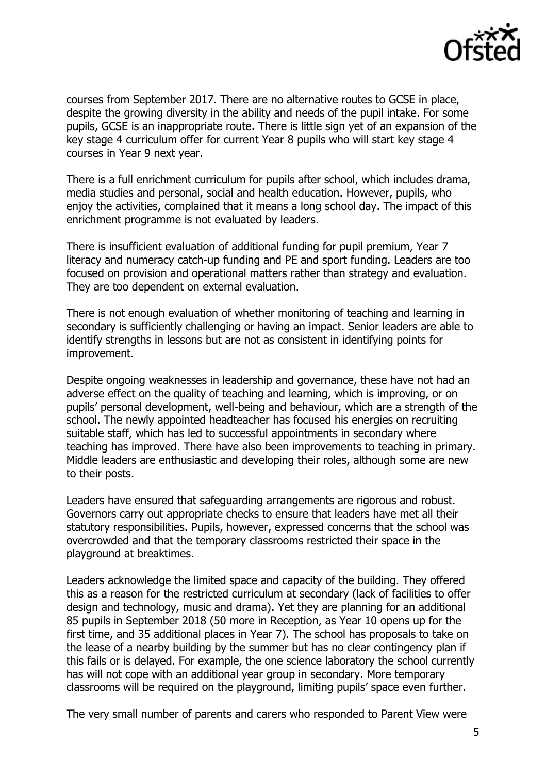

courses from September 2017. There are no alternative routes to GCSE in place, despite the growing diversity in the ability and needs of the pupil intake. For some pupils, GCSE is an inappropriate route. There is little sign yet of an expansion of the key stage 4 curriculum offer for current Year 8 pupils who will start key stage 4 courses in Year 9 next year.

There is a full enrichment curriculum for pupils after school, which includes drama, media studies and personal, social and health education. However, pupils, who enjoy the activities, complained that it means a long school day. The impact of this enrichment programme is not evaluated by leaders.

There is insufficient evaluation of additional funding for pupil premium, Year 7 literacy and numeracy catch-up funding and PE and sport funding. Leaders are too focused on provision and operational matters rather than strategy and evaluation. They are too dependent on external evaluation.

There is not enough evaluation of whether monitoring of teaching and learning in secondary is sufficiently challenging or having an impact. Senior leaders are able to identify strengths in lessons but are not as consistent in identifying points for improvement.

Despite ongoing weaknesses in leadership and governance, these have not had an adverse effect on the quality of teaching and learning, which is improving, or on pupils' personal development, well-being and behaviour, which are a strength of the school. The newly appointed headteacher has focused his energies on recruiting suitable staff, which has led to successful appointments in secondary where teaching has improved. There have also been improvements to teaching in primary. Middle leaders are enthusiastic and developing their roles, although some are new to their posts.

Leaders have ensured that safeguarding arrangements are rigorous and robust. Governors carry out appropriate checks to ensure that leaders have met all their statutory responsibilities. Pupils, however, expressed concerns that the school was overcrowded and that the temporary classrooms restricted their space in the playground at breaktimes.

Leaders acknowledge the limited space and capacity of the building. They offered this as a reason for the restricted curriculum at secondary (lack of facilities to offer design and technology, music and drama). Yet they are planning for an additional 85 pupils in September 2018 (50 more in Reception, as Year 10 opens up for the first time, and 35 additional places in Year 7). The school has proposals to take on the lease of a nearby building by the summer but has no clear contingency plan if this fails or is delayed. For example, the one science laboratory the school currently has will not cope with an additional year group in secondary. More temporary classrooms will be required on the playground, limiting pupils' space even further.

The very small number of parents and carers who responded to Parent View were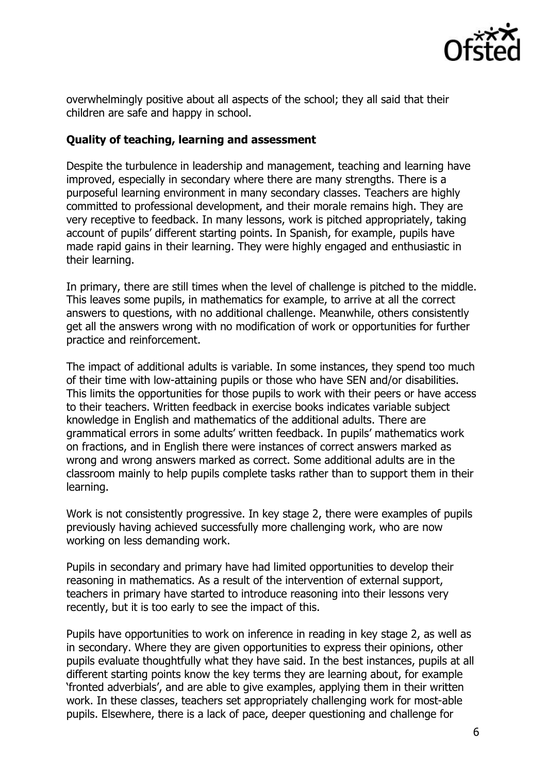

overwhelmingly positive about all aspects of the school; they all said that their children are safe and happy in school.

#### **Quality of teaching, learning and assessment**

Despite the turbulence in leadership and management, teaching and learning have improved, especially in secondary where there are many strengths. There is a purposeful learning environment in many secondary classes. Teachers are highly committed to professional development, and their morale remains high. They are very receptive to feedback. In many lessons, work is pitched appropriately, taking account of pupils' different starting points. In Spanish, for example, pupils have made rapid gains in their learning. They were highly engaged and enthusiastic in their learning.

In primary, there are still times when the level of challenge is pitched to the middle. This leaves some pupils, in mathematics for example, to arrive at all the correct answers to questions, with no additional challenge. Meanwhile, others consistently get all the answers wrong with no modification of work or opportunities for further practice and reinforcement.

The impact of additional adults is variable. In some instances, they spend too much of their time with low-attaining pupils or those who have SEN and/or disabilities. This limits the opportunities for those pupils to work with their peers or have access to their teachers. Written feedback in exercise books indicates variable subject knowledge in English and mathematics of the additional adults. There are grammatical errors in some adults' written feedback. In pupils' mathematics work on fractions, and in English there were instances of correct answers marked as wrong and wrong answers marked as correct. Some additional adults are in the classroom mainly to help pupils complete tasks rather than to support them in their learning.

Work is not consistently progressive. In key stage 2, there were examples of pupils previously having achieved successfully more challenging work, who are now working on less demanding work.

Pupils in secondary and primary have had limited opportunities to develop their reasoning in mathematics. As a result of the intervention of external support, teachers in primary have started to introduce reasoning into their lessons very recently, but it is too early to see the impact of this.

Pupils have opportunities to work on inference in reading in key stage 2, as well as in secondary. Where they are given opportunities to express their opinions, other pupils evaluate thoughtfully what they have said. In the best instances, pupils at all different starting points know the key terms they are learning about, for example 'fronted adverbials', and are able to give examples, applying them in their written work. In these classes, teachers set appropriately challenging work for most-able pupils. Elsewhere, there is a lack of pace, deeper questioning and challenge for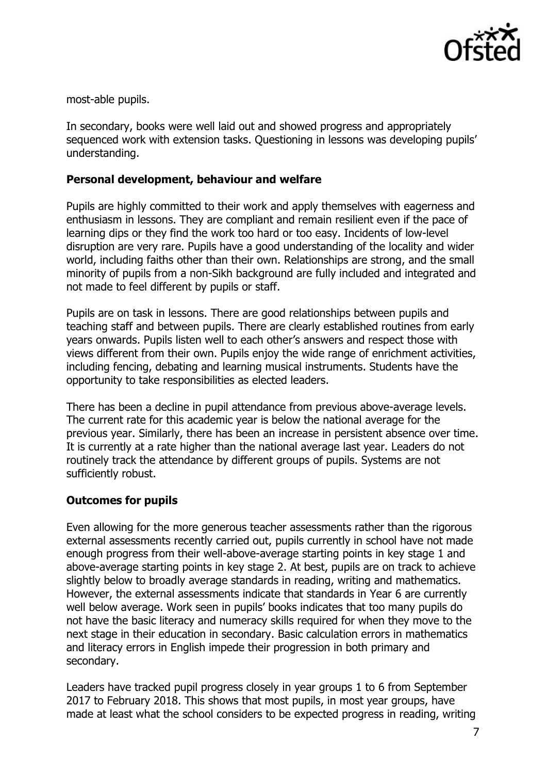

most-able pupils.

In secondary, books were well laid out and showed progress and appropriately sequenced work with extension tasks. Questioning in lessons was developing pupils' understanding.

#### **Personal development, behaviour and welfare**

Pupils are highly committed to their work and apply themselves with eagerness and enthusiasm in lessons. They are compliant and remain resilient even if the pace of learning dips or they find the work too hard or too easy. Incidents of low-level disruption are very rare. Pupils have a good understanding of the locality and wider world, including faiths other than their own. Relationships are strong, and the small minority of pupils from a non-Sikh background are fully included and integrated and not made to feel different by pupils or staff.

Pupils are on task in lessons. There are good relationships between pupils and teaching staff and between pupils. There are clearly established routines from early years onwards. Pupils listen well to each other's answers and respect those with views different from their own. Pupils enjoy the wide range of enrichment activities, including fencing, debating and learning musical instruments. Students have the opportunity to take responsibilities as elected leaders.

There has been a decline in pupil attendance from previous above-average levels. The current rate for this academic year is below the national average for the previous year. Similarly, there has been an increase in persistent absence over time. It is currently at a rate higher than the national average last year. Leaders do not routinely track the attendance by different groups of pupils. Systems are not sufficiently robust.

## **Outcomes for pupils**

Even allowing for the more generous teacher assessments rather than the rigorous external assessments recently carried out, pupils currently in school have not made enough progress from their well-above-average starting points in key stage 1 and above-average starting points in key stage 2. At best, pupils are on track to achieve slightly below to broadly average standards in reading, writing and mathematics. However, the external assessments indicate that standards in Year 6 are currently well below average. Work seen in pupils' books indicates that too many pupils do not have the basic literacy and numeracy skills required for when they move to the next stage in their education in secondary. Basic calculation errors in mathematics and literacy errors in English impede their progression in both primary and secondary.

Leaders have tracked pupil progress closely in year groups 1 to 6 from September 2017 to February 2018. This shows that most pupils, in most year groups, have made at least what the school considers to be expected progress in reading, writing